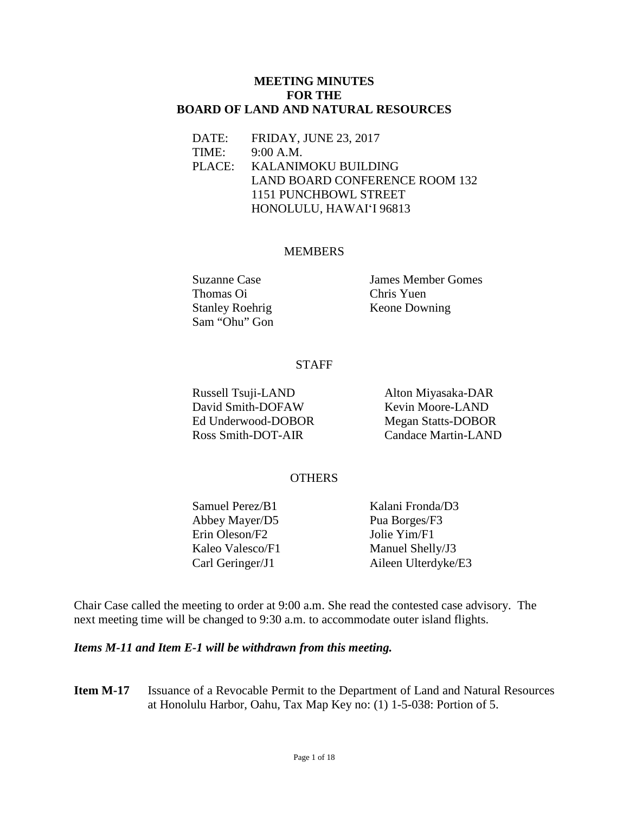# **MEETING MINUTES FOR THE BOARD OF LAND AND NATURAL RESOURCES**

DATE: FRIDAY, JUNE 23, 2017 TIME: 9:00 A.M. PLACE: KALANIMOKU BUILDING LAND BOARD CONFERENCE ROOM 132 1151 PUNCHBOWL STREET HONOLULU, HAWAIʻI 96813

### MEMBERS

Thomas Oi Chris Yuen Sam "Ohu" Gon

Suzanne Case James Member Gomes Stanley Roehrig Keone Downing

## STAFF

Russell Tsuji-LAND Alton Miyasaka-DAR David Smith-DOFAW Kevin Moore-LAND Ed Underwood-DOBOR Megan Statts-DOBOR Ross Smith-DOT-AIR Candace Martin-LAND

## **OTHERS**

Samuel Perez/B1 Kalani Fronda/D3 Abbey Mayer/D5 Pua Borges/F3 Erin Oleson/F2 Jolie Yim/F1 Kaleo Valesco/F1 Manuel Shelly/J3

Carl Geringer/J1 Aileen Ulterdyke/E3

Chair Case called the meeting to order at 9:00 a.m. She read the contested case advisory. The next meeting time will be changed to 9:30 a.m. to accommodate outer island flights.

#### *Items M-11 and Item E-1 will be withdrawn from this meeting.*

**Item M-17** Issuance of a Revocable Permit to the Department of Land and Natural Resources at Honolulu Harbor, Oahu, Tax Map Key no: (1) 1-5-038: Portion of 5.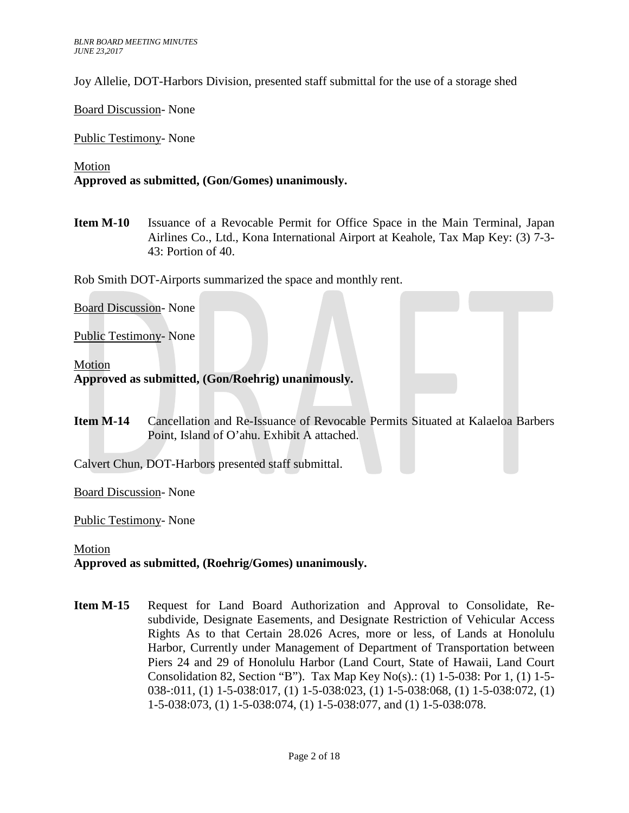Joy Allelie, DOT-Harbors Division, presented staff submittal for the use of a storage shed

Board Discussion- None

Public Testimony- None

### Motion **Approved as submitted, (Gon/Gomes) unanimously.**

- 
- **Item M-10** Issuance of a Revocable Permit for Office Space in the Main Terminal, Japan Airlines Co., Ltd., Kona International Airport at Keahole, Tax Map Key: (3) 7-3- 43: Portion of 40.

Rob Smith DOT-Airports summarized the space and monthly rent.

Board Discussion- None

Public Testimony- None

#### Motion

**Approved as submitted, (Gon/Roehrig) unanimously.**

**Item M-14** Cancellation and Re-Issuance of Revocable Permits Situated at Kalaeloa Barbers Point, Island of O'ahu. Exhibit A attached.

Calvert Chun, DOT-Harbors presented staff submittal.

Board Discussion- None

Public Testimony- None

## Motion **Approved as submitted, (Roehrig/Gomes) unanimously.**

**Item M-15** Request for Land Board Authorization and Approval to Consolidate, Resubdivide, Designate Easements, and Designate Restriction of Vehicular Access Rights As to that Certain 28.026 Acres, more or less, of Lands at Honolulu Harbor, Currently under Management of Department of Transportation between Piers 24 and 29 of Honolulu Harbor (Land Court, State of Hawaii, Land Court Consolidation 82, Section "B"). Tax Map Key No(s).: (1) 1-5-038: Por 1, (1) 1-5-038-:011, (1) 1-5-038:017, (1) 1-5-038:023, (1) 1-5-038:068, (1) 1-5-038:072, (1) 1-5-038:073, (1) 1-5-038:074, (1) 1-5-038:077, and (1) 1-5-038:078.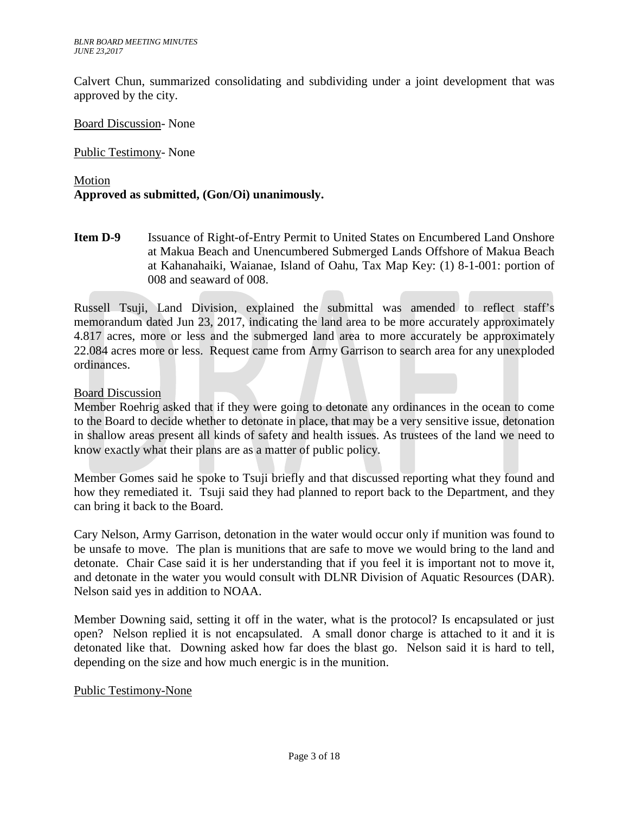Calvert Chun, summarized consolidating and subdividing under a joint development that was approved by the city.

Board Discussion- None

Public Testimony- None

# Motion **Approved as submitted, (Gon/Oi) unanimously.**

**Item D-9** Issuance of Right-of-Entry Permit to United States on Encumbered Land Onshore at Makua Beach and Unencumbered Submerged Lands Offshore of Makua Beach at Kahanahaiki, Waianae, Island of Oahu, Tax Map Key: (1) 8-1-001: portion of 008 and seaward of 008.

Russell Tsuji, Land Division, explained the submittal was amended to reflect staff's memorandum dated Jun 23, 2017, indicating the land area to be more accurately approximately 4.817 acres, more or less and the submerged land area to more accurately be approximately 22.084 acres more or less. Request came from Army Garrison to search area for any unexploded ordinances.

## Board Discussion

Member Roehrig asked that if they were going to detonate any ordinances in the ocean to come to the Board to decide whether to detonate in place, that may be a very sensitive issue, detonation in shallow areas present all kinds of safety and health issues. As trustees of the land we need to know exactly what their plans are as a matter of public policy.

Member Gomes said he spoke to Tsuji briefly and that discussed reporting what they found and how they remediated it. Tsuji said they had planned to report back to the Department, and they can bring it back to the Board.

Cary Nelson, Army Garrison, detonation in the water would occur only if munition was found to be unsafe to move. The plan is munitions that are safe to move we would bring to the land and detonate. Chair Case said it is her understanding that if you feel it is important not to move it, and detonate in the water you would consult with DLNR Division of Aquatic Resources (DAR). Nelson said yes in addition to NOAA.

Member Downing said, setting it off in the water, what is the protocol? Is encapsulated or just open? Nelson replied it is not encapsulated. A small donor charge is attached to it and it is detonated like that. Downing asked how far does the blast go. Nelson said it is hard to tell, depending on the size and how much energic is in the munition.

#### Public Testimony-None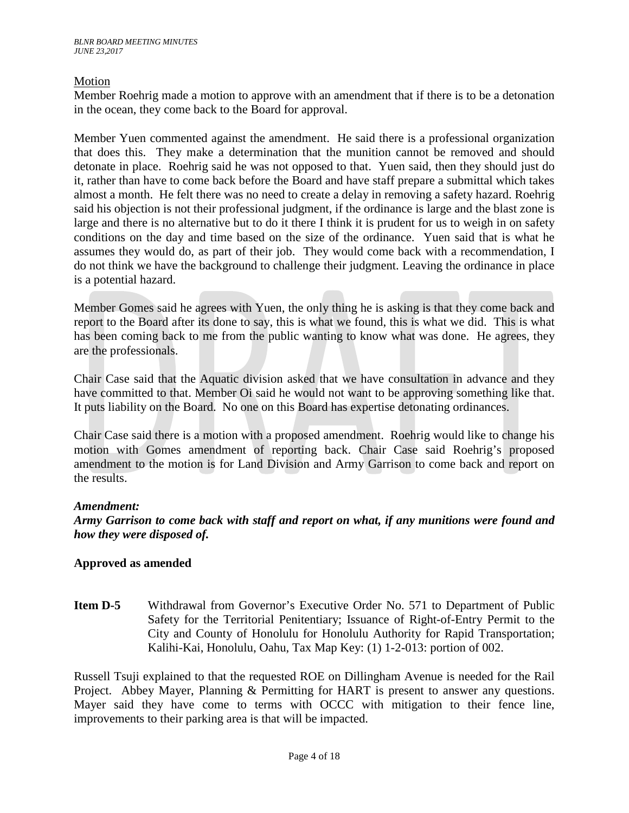# Motion

Member Roehrig made a motion to approve with an amendment that if there is to be a detonation in the ocean, they come back to the Board for approval.

Member Yuen commented against the amendment. He said there is a professional organization that does this. They make a determination that the munition cannot be removed and should detonate in place. Roehrig said he was not opposed to that. Yuen said, then they should just do it, rather than have to come back before the Board and have staff prepare a submittal which takes almost a month. He felt there was no need to create a delay in removing a safety hazard. Roehrig said his objection is not their professional judgment, if the ordinance is large and the blast zone is large and there is no alternative but to do it there I think it is prudent for us to weigh in on safety conditions on the day and time based on the size of the ordinance. Yuen said that is what he assumes they would do, as part of their job. They would come back with a recommendation, I do not think we have the background to challenge their judgment. Leaving the ordinance in place is a potential hazard.

Member Gomes said he agrees with Yuen, the only thing he is asking is that they come back and report to the Board after its done to say, this is what we found, this is what we did. This is what has been coming back to me from the public wanting to know what was done. He agrees, they are the professionals.

Chair Case said that the Aquatic division asked that we have consultation in advance and they have committed to that. Member Oi said he would not want to be approving something like that. It puts liability on the Board. No one on this Board has expertise detonating ordinances.

Chair Case said there is a motion with a proposed amendment. Roehrig would like to change his motion with Gomes amendment of reporting back. Chair Case said Roehrig's proposed amendment to the motion is for Land Division and Army Garrison to come back and report on the results.

## *Amendment:*

*Army Garrison to come back with staff and report on what, if any munitions were found and how they were disposed of.*

## **Approved as amended**

**Item D-5** Withdrawal from Governor's Executive Order No. 571 to Department of Public Safety for the Territorial Penitentiary; Issuance of Right-of-Entry Permit to the City and County of Honolulu for Honolulu Authority for Rapid Transportation; Kalihi-Kai, Honolulu, Oahu, Tax Map Key: (1) 1-2-013: portion of 002.

Russell Tsuji explained to that the requested ROE on Dillingham Avenue is needed for the Rail Project. Abbey Mayer, Planning & Permitting for HART is present to answer any questions. Mayer said they have come to terms with OCCC with mitigation to their fence line, improvements to their parking area is that will be impacted.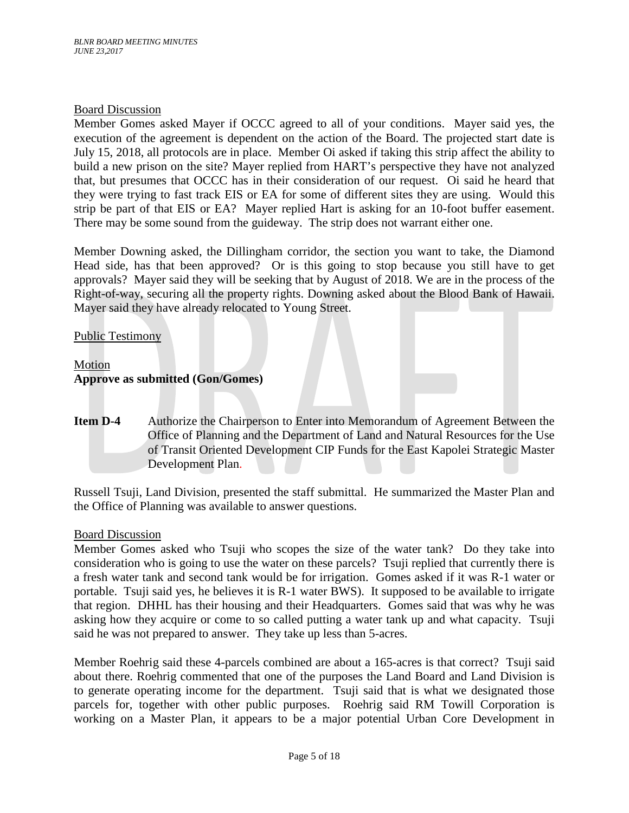### Board Discussion

Member Gomes asked Mayer if OCCC agreed to all of your conditions. Mayer said yes, the execution of the agreement is dependent on the action of the Board. The projected start date is July 15, 2018, all protocols are in place. Member Oi asked if taking this strip affect the ability to build a new prison on the site? Mayer replied from HART's perspective they have not analyzed that, but presumes that OCCC has in their consideration of our request. Oi said he heard that they were trying to fast track EIS or EA for some of different sites they are using. Would this strip be part of that EIS or EA? Mayer replied Hart is asking for an 10-foot buffer easement. There may be some sound from the guideway. The strip does not warrant either one.

Member Downing asked, the Dillingham corridor, the section you want to take, the Diamond Head side, has that been approved? Or is this going to stop because you still have to get approvals? Mayer said they will be seeking that by August of 2018. We are in the process of the Right-of-way, securing all the property rights. Downing asked about the Blood Bank of Hawaii. Mayer said they have already relocated to Young Street.

## Public Testimony

# Motion **Approve as submitted (Gon/Gomes)**

**Item D-4** Authorize the Chairperson to Enter into Memorandum of Agreement Between the Office of Planning and the Department of Land and Natural Resources for the Use of Transit Oriented Development CIP Funds for the East Kapolei Strategic Master Development Plan.

Russell Tsuji, Land Division, presented the staff submittal. He summarized the Master Plan and the Office of Planning was available to answer questions.

#### Board Discussion

Member Gomes asked who Tsuji who scopes the size of the water tank? Do they take into consideration who is going to use the water on these parcels? Tsuji replied that currently there is a fresh water tank and second tank would be for irrigation. Gomes asked if it was R-1 water or portable. Tsuji said yes, he believes it is R-1 water BWS). It supposed to be available to irrigate that region. DHHL has their housing and their Headquarters. Gomes said that was why he was asking how they acquire or come to so called putting a water tank up and what capacity. Tsuji said he was not prepared to answer. They take up less than 5-acres.

Member Roehrig said these 4-parcels combined are about a 165-acres is that correct? Tsuji said about there. Roehrig commented that one of the purposes the Land Board and Land Division is to generate operating income for the department. Tsuji said that is what we designated those parcels for, together with other public purposes. Roehrig said RM Towill Corporation is working on a Master Plan, it appears to be a major potential Urban Core Development in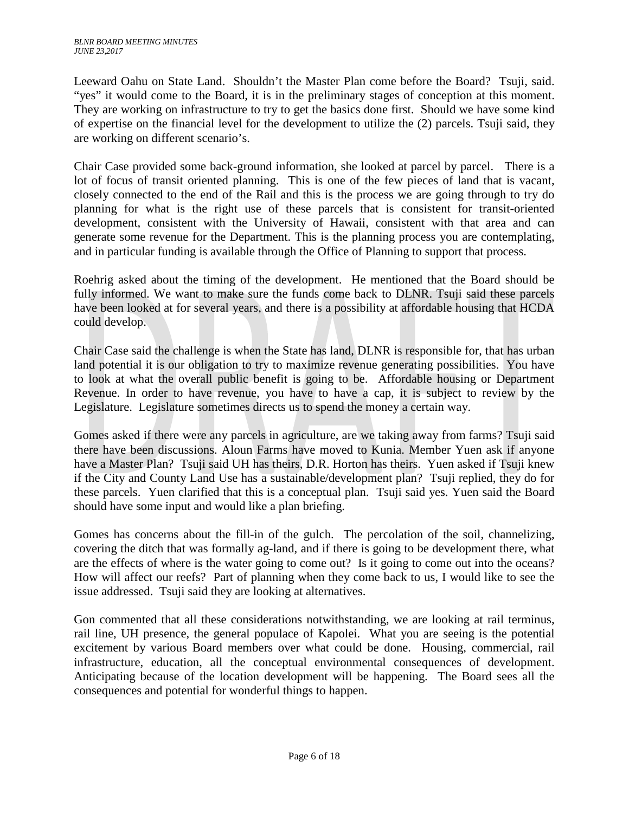Leeward Oahu on State Land. Shouldn't the Master Plan come before the Board? Tsuji, said. "yes" it would come to the Board, it is in the preliminary stages of conception at this moment. They are working on infrastructure to try to get the basics done first. Should we have some kind of expertise on the financial level for the development to utilize the (2) parcels. Tsuji said, they are working on different scenario's.

Chair Case provided some back-ground information, she looked at parcel by parcel. There is a lot of focus of transit oriented planning. This is one of the few pieces of land that is vacant, closely connected to the end of the Rail and this is the process we are going through to try do planning for what is the right use of these parcels that is consistent for transit-oriented development, consistent with the University of Hawaii, consistent with that area and can generate some revenue for the Department. This is the planning process you are contemplating, and in particular funding is available through the Office of Planning to support that process.

Roehrig asked about the timing of the development. He mentioned that the Board should be fully informed. We want to make sure the funds come back to DLNR. Tsuji said these parcels have been looked at for several years, and there is a possibility at affordable housing that HCDA could develop.

Chair Case said the challenge is when the State has land, DLNR is responsible for, that has urban land potential it is our obligation to try to maximize revenue generating possibilities. You have to look at what the overall public benefit is going to be. Affordable housing or Department Revenue. In order to have revenue, you have to have a cap, it is subject to review by the Legislature. Legislature sometimes directs us to spend the money a certain way.

Gomes asked if there were any parcels in agriculture, are we taking away from farms? Tsuji said there have been discussions. Aloun Farms have moved to Kunia. Member Yuen ask if anyone have a Master Plan? Tsuji said UH has theirs, D.R. Horton has theirs. Yuen asked if Tsuji knew if the City and County Land Use has a sustainable/development plan? Tsuji replied, they do for these parcels. Yuen clarified that this is a conceptual plan. Tsuji said yes. Yuen said the Board should have some input and would like a plan briefing.

Gomes has concerns about the fill-in of the gulch. The percolation of the soil, channelizing, covering the ditch that was formally ag-land, and if there is going to be development there, what are the effects of where is the water going to come out? Is it going to come out into the oceans? How will affect our reefs? Part of planning when they come back to us, I would like to see the issue addressed. Tsuji said they are looking at alternatives.

Gon commented that all these considerations notwithstanding, we are looking at rail terminus, rail line, UH presence, the general populace of Kapolei. What you are seeing is the potential excitement by various Board members over what could be done. Housing, commercial, rail infrastructure, education, all the conceptual environmental consequences of development. Anticipating because of the location development will be happening. The Board sees all the consequences and potential for wonderful things to happen.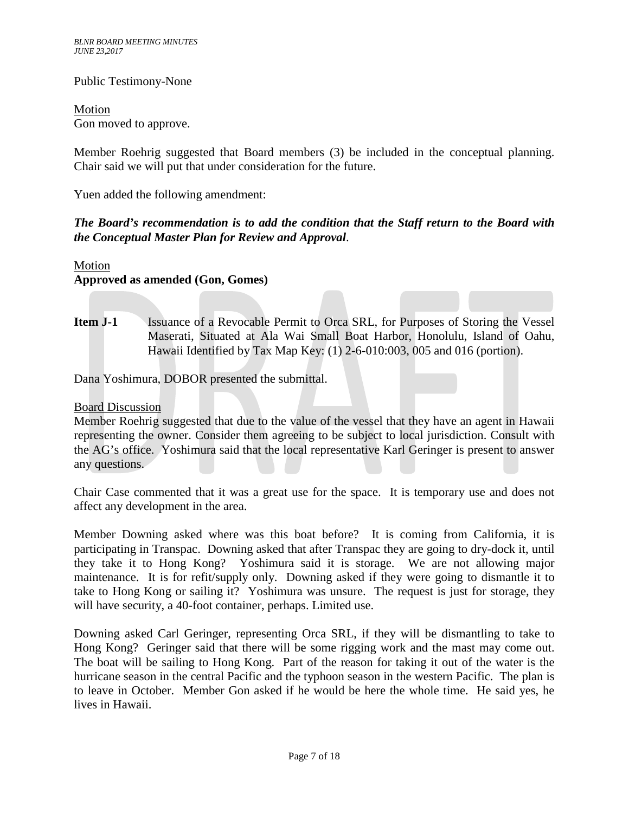Public Testimony-None

Motion Gon moved to approve.

Member Roehrig suggested that Board members (3) be included in the conceptual planning. Chair said we will put that under consideration for the future.

Yuen added the following amendment:

# *The Board's recommendation is to add the condition that the Staff return to the Board with the Conceptual Master Plan for Review and Approval*.

# Motion **Approved as amended (Gon, Gomes)**

**Item J-1** Issuance of a Revocable Permit to Orca SRL, for Purposes of Storing the Vessel Maserati, Situated at Ala Wai Small Boat Harbor, Honolulu, Island of Oahu, Hawaii Identified by Tax Map Key: (1) 2-6-010:003, 005 and 016 (portion).

Dana Yoshimura, DOBOR presented the submittal.

### Board Discussion

Member Roehrig suggested that due to the value of the vessel that they have an agent in Hawaii representing the owner. Consider them agreeing to be subject to local jurisdiction. Consult with the AG's office. Yoshimura said that the local representative Karl Geringer is present to answer any questions.

Chair Case commented that it was a great use for the space. It is temporary use and does not affect any development in the area.

Member Downing asked where was this boat before? It is coming from California, it is participating in Transpac. Downing asked that after Transpac they are going to dry-dock it, until they take it to Hong Kong? Yoshimura said it is storage. We are not allowing major maintenance. It is for refit/supply only. Downing asked if they were going to dismantle it to take to Hong Kong or sailing it? Yoshimura was unsure. The request is just for storage, they will have security, a 40-foot container, perhaps. Limited use.

Downing asked Carl Geringer, representing Orca SRL, if they will be dismantling to take to Hong Kong? Geringer said that there will be some rigging work and the mast may come out. The boat will be sailing to Hong Kong. Part of the reason for taking it out of the water is the hurricane season in the central Pacific and the typhoon season in the western Pacific. The plan is to leave in October. Member Gon asked if he would be here the whole time. He said yes, he lives in Hawaii.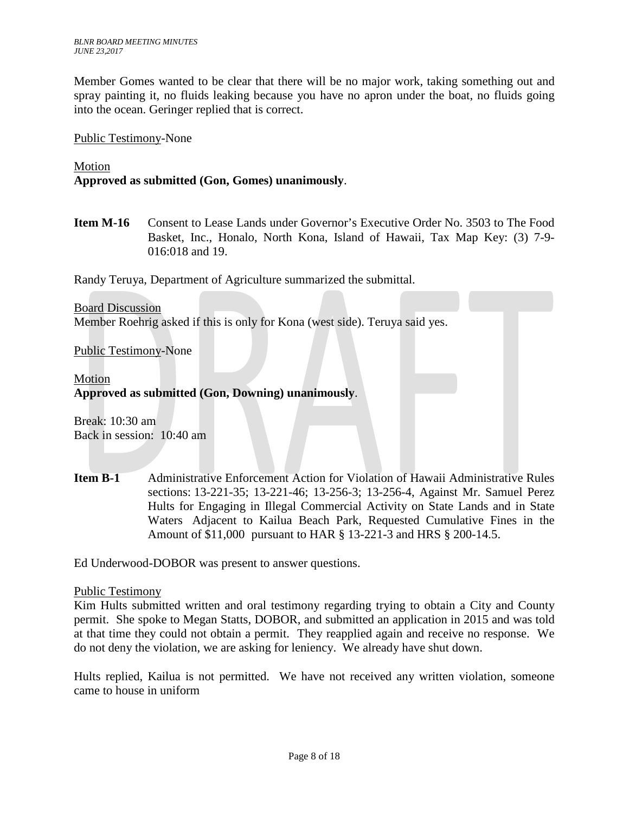Member Gomes wanted to be clear that there will be no major work, taking something out and spray painting it, no fluids leaking because you have no apron under the boat, no fluids going into the ocean. Geringer replied that is correct.

Public Testimony-None

#### Motion **Approved as submitted (Gon, Gomes) unanimously**.

**Item M-16** Consent to Lease Lands under Governor's Executive Order No. 3503 to The Food Basket, Inc., Honalo, North Kona, Island of Hawaii, Tax Map Key: (3) 7-9- 016:018 and 19.

Randy Teruya, Department of Agriculture summarized the submittal.

### Board Discussion

Member Roehrig asked if this is only for Kona (west side). Teruya said yes.

Public Testimony-None

### Motion

# **Approved as submitted (Gon, Downing) unanimously**.

Break: 10:30 am Back in session: 10:40 am

**Item B-1** Administrative Enforcement Action for Violation of Hawaii Administrative Rules sections: 13-221-35; 13-221-46; 13-256-3; 13-256-4, Against Mr. Samuel Perez Hults for Engaging in Illegal Commercial Activity on State Lands and in State Waters Adjacent to Kailua Beach Park, Requested Cumulative Fines in the Amount of \$11,000 pursuant to HAR § 13-221-3 and HRS § 200-14.5.

Ed Underwood-DOBOR was present to answer questions.

## Public Testimony

Kim Hults submitted written and oral testimony regarding trying to obtain a City and County permit. She spoke to Megan Statts, DOBOR, and submitted an application in 2015 and was told at that time they could not obtain a permit. They reapplied again and receive no response. We do not deny the violation, we are asking for leniency. We already have shut down.

Hults replied, Kailua is not permitted. We have not received any written violation, someone came to house in uniform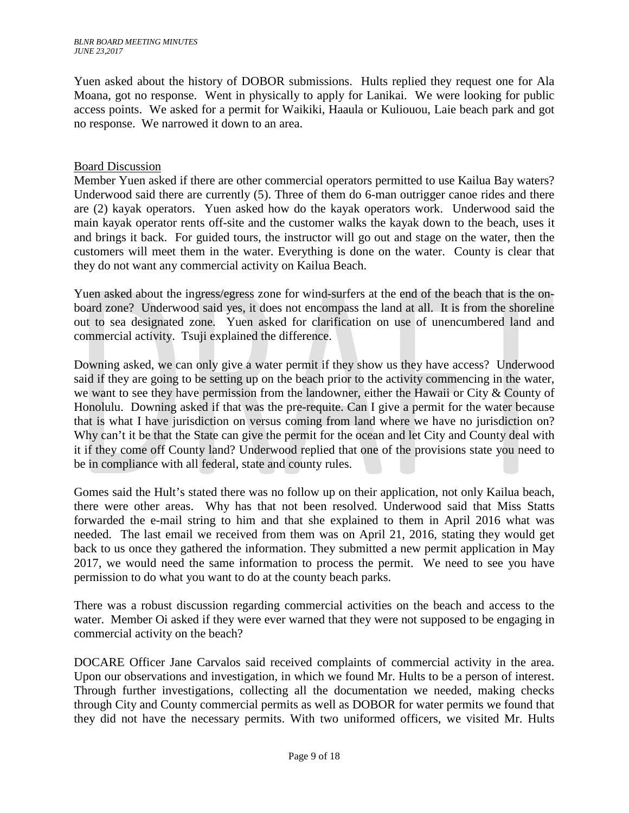Yuen asked about the history of DOBOR submissions. Hults replied they request one for Ala Moana, got no response. Went in physically to apply for Lanikai. We were looking for public access points. We asked for a permit for Waikiki, Haaula or Kuliouou, Laie beach park and got no response. We narrowed it down to an area.

# Board Discussion

Member Yuen asked if there are other commercial operators permitted to use Kailua Bay waters? Underwood said there are currently (5). Three of them do 6-man outrigger canoe rides and there are (2) kayak operators. Yuen asked how do the kayak operators work. Underwood said the main kayak operator rents off-site and the customer walks the kayak down to the beach, uses it and brings it back. For guided tours, the instructor will go out and stage on the water, then the customers will meet them in the water. Everything is done on the water. County is clear that they do not want any commercial activity on Kailua Beach.

Yuen asked about the ingress/egress zone for wind-surfers at the end of the beach that is the onboard zone? Underwood said yes, it does not encompass the land at all. It is from the shoreline out to sea designated zone. Yuen asked for clarification on use of unencumbered land and commercial activity. Tsuji explained the difference.

Downing asked, we can only give a water permit if they show us they have access? Underwood said if they are going to be setting up on the beach prior to the activity commencing in the water, we want to see they have permission from the landowner, either the Hawaii or City & County of Honolulu. Downing asked if that was the pre-requite. Can I give a permit for the water because that is what I have jurisdiction on versus coming from land where we have no jurisdiction on? Why can't it be that the State can give the permit for the ocean and let City and County deal with it if they come off County land? Underwood replied that one of the provisions state you need to be in compliance with all federal, state and county rules.

Gomes said the Hult's stated there was no follow up on their application, not only Kailua beach, there were other areas. Why has that not been resolved. Underwood said that Miss Statts forwarded the e-mail string to him and that she explained to them in April 2016 what was needed. The last email we received from them was on April 21, 2016, stating they would get back to us once they gathered the information. They submitted a new permit application in May 2017, we would need the same information to process the permit. We need to see you have permission to do what you want to do at the county beach parks.

There was a robust discussion regarding commercial activities on the beach and access to the water. Member Oi asked if they were ever warned that they were not supposed to be engaging in commercial activity on the beach?

DOCARE Officer Jane Carvalos said received complaints of commercial activity in the area. Upon our observations and investigation, in which we found Mr. Hults to be a person of interest. Through further investigations, collecting all the documentation we needed, making checks through City and County commercial permits as well as DOBOR for water permits we found that they did not have the necessary permits. With two uniformed officers, we visited Mr. Hults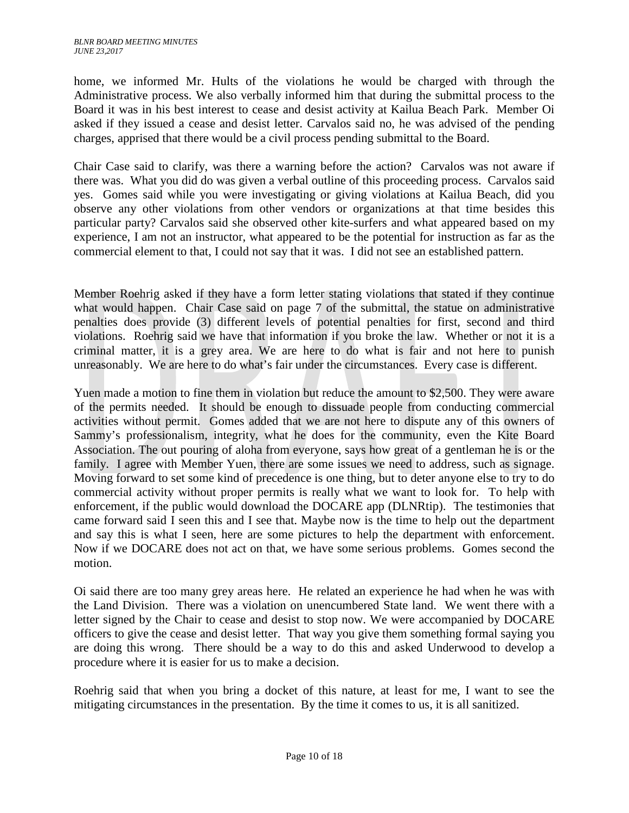home, we informed Mr. Hults of the violations he would be charged with through the Administrative process. We also verbally informed him that during the submittal process to the Board it was in his best interest to cease and desist activity at Kailua Beach Park. Member Oi asked if they issued a cease and desist letter. Carvalos said no, he was advised of the pending charges, apprised that there would be a civil process pending submittal to the Board.

Chair Case said to clarify, was there a warning before the action? Carvalos was not aware if there was. What you did do was given a verbal outline of this proceeding process. Carvalos said yes. Gomes said while you were investigating or giving violations at Kailua Beach, did you observe any other violations from other vendors or organizations at that time besides this particular party? Carvalos said she observed other kite-surfers and what appeared based on my experience, I am not an instructor, what appeared to be the potential for instruction as far as the commercial element to that, I could not say that it was. I did not see an established pattern.

Member Roehrig asked if they have a form letter stating violations that stated if they continue what would happen. Chair Case said on page 7 of the submittal, the statue on administrative penalties does provide (3) different levels of potential penalties for first, second and third violations. Roehrig said we have that information if you broke the law. Whether or not it is a criminal matter, it is a grey area. We are here to do what is fair and not here to punish unreasonably. We are here to do what's fair under the circumstances. Every case is different.

Yuen made a motion to fine them in violation but reduce the amount to \$2,500. They were aware of the permits needed. It should be enough to dissuade people from conducting commercial activities without permit. Gomes added that we are not here to dispute any of this owners of Sammy's professionalism, integrity, what he does for the community, even the Kite Board Association. The out pouring of aloha from everyone, says how great of a gentleman he is or the family. I agree with Member Yuen, there are some issues we need to address, such as signage. Moving forward to set some kind of precedence is one thing, but to deter anyone else to try to do commercial activity without proper permits is really what we want to look for. To help with enforcement, if the public would download the DOCARE app (DLNRtip). The testimonies that came forward said I seen this and I see that. Maybe now is the time to help out the department and say this is what I seen, here are some pictures to help the department with enforcement. Now if we DOCARE does not act on that, we have some serious problems. Gomes second the motion.

Oi said there are too many grey areas here. He related an experience he had when he was with the Land Division. There was a violation on unencumbered State land. We went there with a letter signed by the Chair to cease and desist to stop now. We were accompanied by DOCARE officers to give the cease and desist letter. That way you give them something formal saying you are doing this wrong. There should be a way to do this and asked Underwood to develop a procedure where it is easier for us to make a decision.

Roehrig said that when you bring a docket of this nature, at least for me, I want to see the mitigating circumstances in the presentation. By the time it comes to us, it is all sanitized.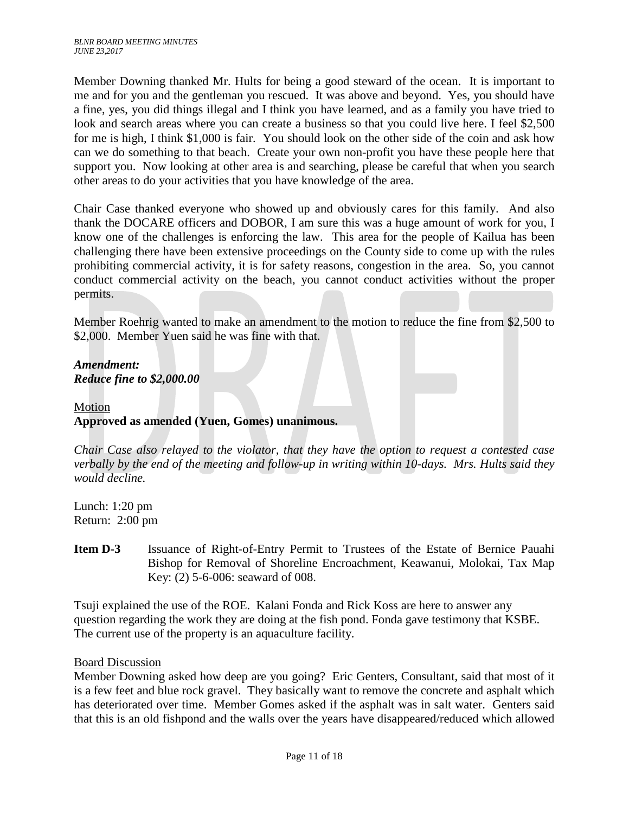Member Downing thanked Mr. Hults for being a good steward of the ocean. It is important to me and for you and the gentleman you rescued. It was above and beyond. Yes, you should have a fine, yes, you did things illegal and I think you have learned, and as a family you have tried to look and search areas where you can create a business so that you could live here. I feel \$2,500 for me is high, I think \$1,000 is fair. You should look on the other side of the coin and ask how can we do something to that beach. Create your own non-profit you have these people here that support you. Now looking at other area is and searching, please be careful that when you search other areas to do your activities that you have knowledge of the area.

Chair Case thanked everyone who showed up and obviously cares for this family. And also thank the DOCARE officers and DOBOR, I am sure this was a huge amount of work for you, I know one of the challenges is enforcing the law. This area for the people of Kailua has been challenging there have been extensive proceedings on the County side to come up with the rules prohibiting commercial activity, it is for safety reasons, congestion in the area. So, you cannot conduct commercial activity on the beach, you cannot conduct activities without the proper permits.

Member Roehrig wanted to make an amendment to the motion to reduce the fine from \$2,500 to \$2,000. Member Yuen said he was fine with that.

# *Amendment: Reduce fine to \$2,000.00*

# Motion **Approved as amended (Yuen, Gomes) unanimous.**

*Chair Case also relayed to the violator, that they have the option to request a contested case verbally by the end of the meeting and follow-up in writing within 10-days. Mrs. Hults said they would decline.*

Lunch: 1:20 pm Return: 2:00 pm

**Item D-3** Issuance of Right-of-Entry Permit to Trustees of the Estate of Bernice Pauahi Bishop for Removal of Shoreline Encroachment, Keawanui, Molokai*,* Tax Map Key: (2) 5-6-006: seaward of 008.

Tsuji explained the use of the ROE. Kalani Fonda and Rick Koss are here to answer any question regarding the work they are doing at the fish pond. Fonda gave testimony that KSBE. The current use of the property is an aquaculture facility.

# Board Discussion

Member Downing asked how deep are you going? Eric Genters, Consultant, said that most of it is a few feet and blue rock gravel. They basically want to remove the concrete and asphalt which has deteriorated over time. Member Gomes asked if the asphalt was in salt water. Genters said that this is an old fishpond and the walls over the years have disappeared/reduced which allowed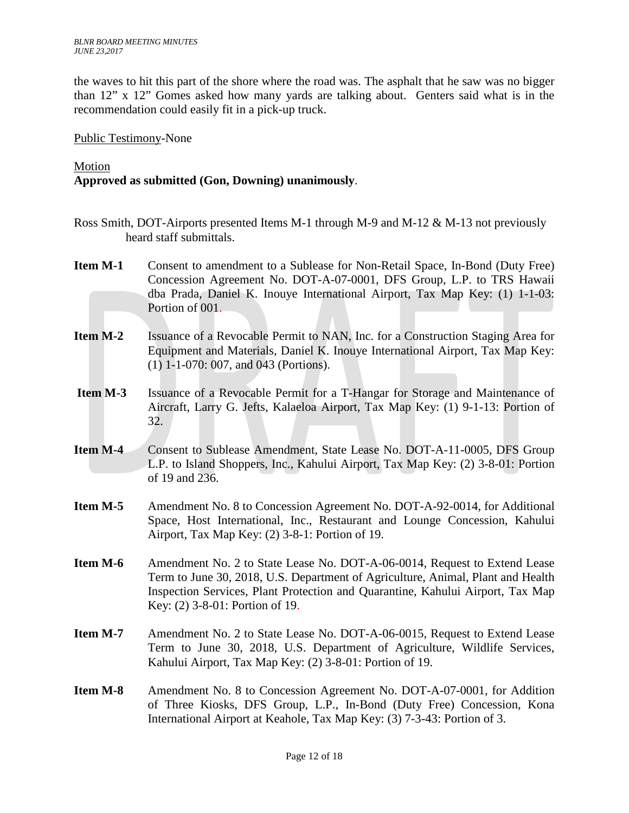the waves to hit this part of the shore where the road was. The asphalt that he saw was no bigger than 12" x 12" Gomes asked how many yards are talking about. Genters said what is in the recommendation could easily fit in a pick-up truck.

# Public Testimony-None

# Motion **Approved as submitted (Gon, Downing) unanimously**.

- Ross Smith, DOT-Airports presented Items M-1 through M-9 and M-12 & M-13 not previously heard staff submittals.
- **Item M-1** Consent to amendment to a Sublease for Non-Retail Space, In-Bond (Duty Free) Concession Agreement No. DOT-A-07-0001, DFS Group, L.P. to TRS Hawaii dba Prada, Daniel K. Inouye International Airport, Tax Map Key: (1) 1-1-03: Portion of 001.
- **Item M-2** Issuance of a Revocable Permit to NAN, Inc. for a Construction Staging Area for Equipment and Materials, Daniel K. Inouye International Airport, Tax Map Key: (1) 1-1-070: 007, and 043 (Portions).
- **Item M-3** Issuance of a Revocable Permit for a T-Hangar for Storage and Maintenance of Aircraft, Larry G. Jefts, Kalaeloa Airport, Tax Map Key: (1) 9-1-13: Portion of 32.
- **Item M-4** Consent to Sublease Amendment, State Lease No. DOT-A-11-0005, DFS Group L.P. to Island Shoppers, Inc., Kahului Airport, Tax Map Key: (2) 3-8-01: Portion of 19 and 236.
- **Item M-5** Amendment No. 8 to Concession Agreement No. DOT-A-92-0014, for Additional Space, Host International, Inc., Restaurant and Lounge Concession, Kahului Airport, Tax Map Key: (2) 3-8-1: Portion of 19.
- **Item M-6** Amendment No. 2 to State Lease No. DOT-A-06-0014, Request to Extend Lease Term to June 30, 2018, U.S. Department of Agriculture, Animal, Plant and Health Inspection Services, Plant Protection and Quarantine, Kahului Airport, Tax Map Key: (2) 3-8-01: Portion of 19.
- **Item M-7** Amendment No. 2 to State Lease No. DOT-A-06-0015, Request to Extend Lease Term to June 30, 2018, U.S. Department of Agriculture, Wildlife Services, Kahului Airport, Tax Map Key: (2) 3-8-01: Portion of 19.
- **Item M-8** Amendment No. 8 to Concession Agreement No. DOT-A-07-0001, for Addition of Three Kiosks, DFS Group, L.P., In-Bond (Duty Free) Concession, Kona International Airport at Keahole, Tax Map Key: (3) 7-3-43: Portion of 3.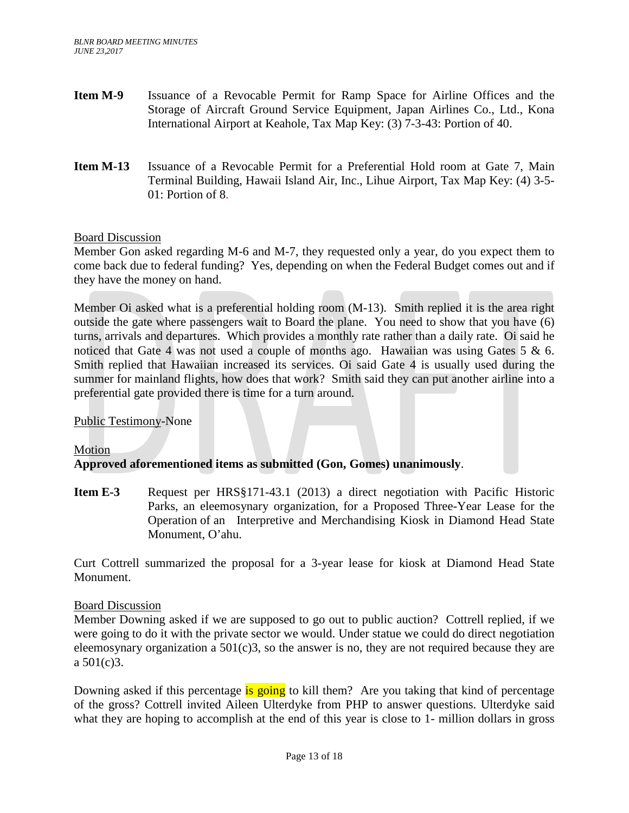- **Item M-9** Issuance of a Revocable Permit for Ramp Space for Airline Offices and the Storage of Aircraft Ground Service Equipment, Japan Airlines Co., Ltd., Kona International Airport at Keahole, Tax Map Key: (3) 7-3-43: Portion of 40.
- **Item M-13** Issuance of a Revocable Permit for a Preferential Hold room at Gate 7, Main Terminal Building, Hawaii Island Air, Inc., Lihue Airport, Tax Map Key: (4) 3-5- 01: Portion of 8.

## Board Discussion

Member Gon asked regarding M-6 and M-7, they requested only a year, do you expect them to come back due to federal funding? Yes, depending on when the Federal Budget comes out and if they have the money on hand.

Member Oi asked what is a preferential holding room (M-13). Smith replied it is the area right outside the gate where passengers wait to Board the plane. You need to show that you have (6) turns, arrivals and departures. Which provides a monthly rate rather than a daily rate. Oi said he noticed that Gate 4 was not used a couple of months ago. Hawaiian was using Gates 5 & 6. Smith replied that Hawaiian increased its services. Oi said Gate 4 is usually used during the summer for mainland flights, how does that work? Smith said they can put another airline into a preferential gate provided there is time for a turn around.

## Public Testimony-None

# **Motion Approved aforementioned items as submitted (Gon, Gomes) unanimously**.

**Item E-3** Request per HRS§171-43.1 (2013) a direct negotiation with Pacific Historic Parks, an eleemosynary organization, for a Proposed Three-Year Lease for the Operation of an Interpretive and Merchandising Kiosk in Diamond Head State Monument, O'ahu.

Curt Cottrell summarized the proposal for a 3-year lease for kiosk at Diamond Head State Monument.

## Board Discussion

Member Downing asked if we are supposed to go out to public auction? Cottrell replied, if we were going to do it with the private sector we would. Under statue we could do direct negotiation eleemosynary organization a  $501(c)3$ , so the answer is no, they are not required because they are a 501(c)3.

Downing asked if this percentage is going to kill them? Are you taking that kind of percentage of the gross? Cottrell invited Aileen Ulterdyke from PHP to answer questions. Ulterdyke said what they are hoping to accomplish at the end of this year is close to 1- million dollars in gross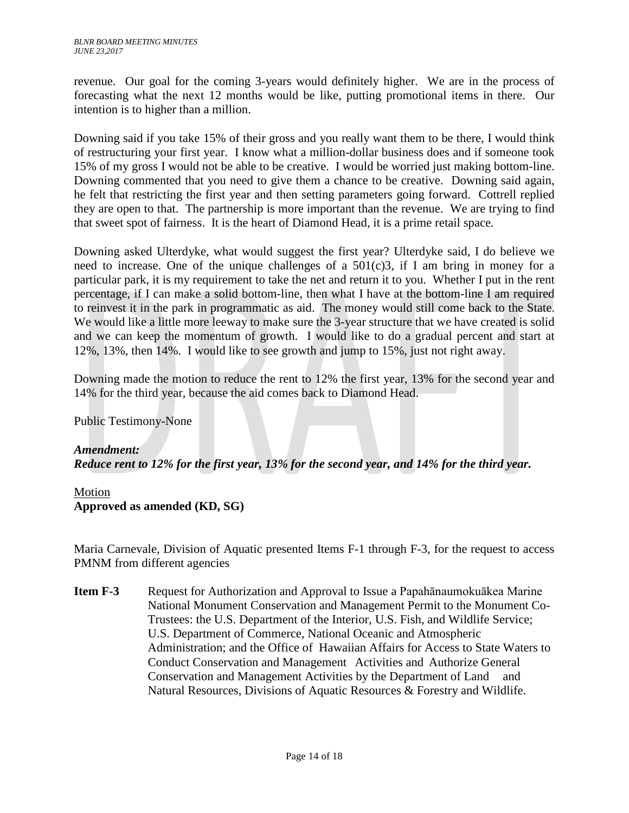revenue. Our goal for the coming 3-years would definitely higher. We are in the process of forecasting what the next 12 months would be like, putting promotional items in there. Our intention is to higher than a million.

Downing said if you take 15% of their gross and you really want them to be there, I would think of restructuring your first year. I know what a million-dollar business does and if someone took 15% of my gross I would not be able to be creative. I would be worried just making bottom-line. Downing commented that you need to give them a chance to be creative. Downing said again, he felt that restricting the first year and then setting parameters going forward. Cottrell replied they are open to that. The partnership is more important than the revenue. We are trying to find that sweet spot of fairness. It is the heart of Diamond Head, it is a prime retail space.

Downing asked Ulterdyke, what would suggest the first year? Ulterdyke said, I do believe we need to increase. One of the unique challenges of a  $501(c)3$ , if I am bring in money for a particular park, it is my requirement to take the net and return it to you. Whether I put in the rent percentage, if I can make a solid bottom-line, then what I have at the bottom-line I am required to reinvest it in the park in programmatic as aid. The money would still come back to the State. We would like a little more leeway to make sure the 3-year structure that we have created is solid and we can keep the momentum of growth. I would like to do a gradual percent and start at 12%, 13%, then 14%. I would like to see growth and jump to 15%, just not right away.

Downing made the motion to reduce the rent to 12% the first year, 13% for the second year and 14% for the third year, because the aid comes back to Diamond Head.

Public Testimony-None

# *Amendment:*

*Reduce rent to 12% for the first year, 13% for the second year, and 14% for the third year.*

# Motion

**Approved as amended (KD, SG)**

Maria Carnevale, Division of Aquatic presented Items F-1 through F-3, for the request to access PMNM from different agencies

**Item F-3** Request for Authorization and Approval to Issue a Papahānaumokuākea Marine National Monument Conservation and Management Permit to the Monument Co-Trustees: the U.S. Department of the Interior, U.S. Fish, and Wildlife Service; U.S. Department of Commerce, National Oceanic and Atmospheric Administration; and the Office of Hawaiian Affairs for Access to State Waters to Conduct Conservation and Management Activities and Authorize General Conservation and Management Activities by the Department of Land and Natural Resources, Divisions of Aquatic Resources & Forestry and Wildlife.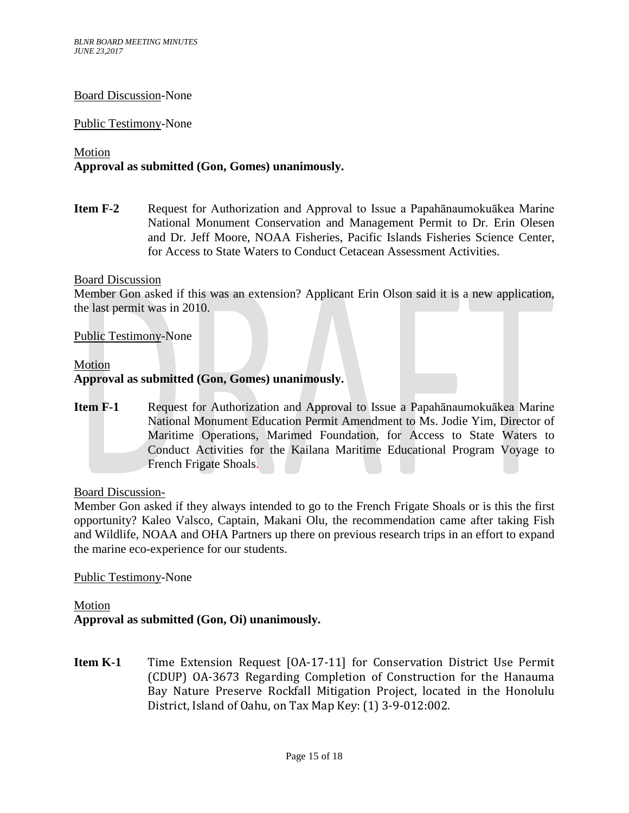### Board Discussion-None

#### Public Testimony-None

#### Motion

# **Approval as submitted (Gon, Gomes) unanimously.**

**Item F-2** Request for Authorization and Approval to Issue a Papahānaumokuākea Marine National Monument Conservation and Management Permit to Dr. Erin Olesen and Dr. Jeff Moore, NOAA Fisheries, Pacific Islands Fisheries Science Center, for Access to State Waters to Conduct Cetacean Assessment Activities.

Board Discussion

Member Gon asked if this was an extension? Applicant Erin Olson said it is a new application, the last permit was in 2010.

Public Testimony-None

### Motion

# **Approval as submitted (Gon, Gomes) unanimously.**

**Item F-1** Request for Authorization and Approval to Issue a Papahānaumokuākea Marine National Monument Education Permit Amendment to Ms. Jodie Yim, Director of Maritime Operations, Marimed Foundation, for Access to State Waters to Conduct Activities for the Kailana Maritime Educational Program Voyage to French Frigate Shoals.

Board Discussion-

Member Gon asked if they always intended to go to the French Frigate Shoals or is this the first opportunity? Kaleo Valsco, Captain, Makani Olu, the recommendation came after taking Fish and Wildlife, NOAA and OHA Partners up there on previous research trips in an effort to expand the marine eco-experience for our students.

Public Testimony-None

# Motion **Approval as submitted (Gon, Oi) unanimously.**

**Item K-1** Time Extension Request [OA-17-11] for Conservation District Use Permit (CDUP) OA-3673 Regarding Completion of Construction for the Hanauma Bay Nature Preserve Rockfall Mitigation Project, located in the Honolulu District, Island of Oahu, on Tax Map Key: (1) 3-9-012:002.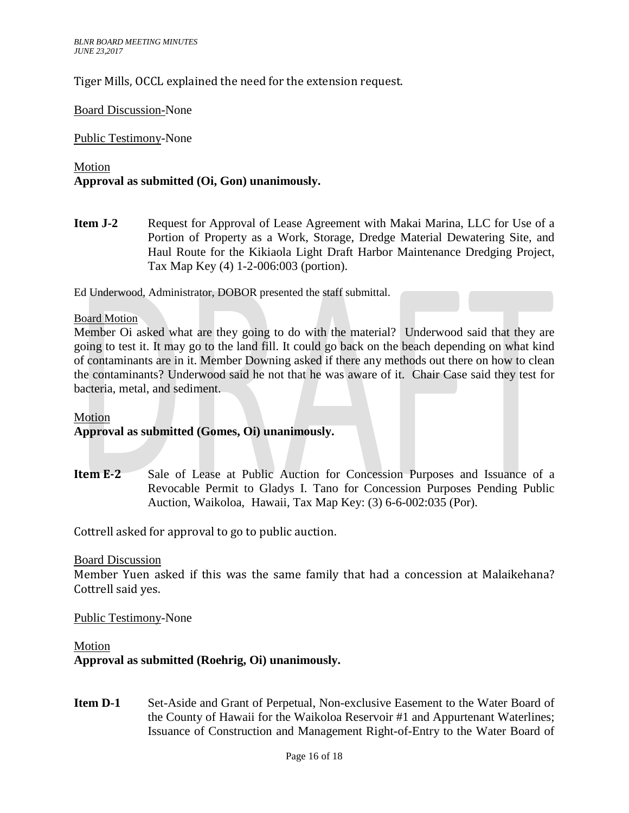Tiger Mills, OCCL explained the need for the extension request.

### Board Discussion-None

Public Testimony-None

# Motion **Approval as submitted (Oi, Gon) unanimously.**

**Item J-2** Request for Approval of Lease Agreement with Makai Marina, LLC for Use of a Portion of Property as a Work, Storage, Dredge Material Dewatering Site, and Haul Route for the Kikiaola Light Draft Harbor Maintenance Dredging Project, Tax Map Key (4) 1-2-006:003 (portion).

Ed Underwood, Administrator, DOBOR presented the staff submittal.

### Board Motion

Member Oi asked what are they going to do with the material? Underwood said that they are going to test it. It may go to the land fill. It could go back on the beach depending on what kind of contaminants are in it. Member Downing asked if there any methods out there on how to clean the contaminants? Underwood said he not that he was aware of it. Chair Case said they test for bacteria, metal, and sediment.

## Motion

## **Approval as submitted (Gomes, Oi) unanimously.**

**Item E-2** Sale of Lease at Public Auction for Concession Purposes and Issuance of a Revocable Permit to Gladys I. Tano for Concession Purposes Pending Public Auction, Waikoloa, Hawaii, Tax Map Key: (3) 6-6-002:035 (Por).

Cottrell asked for approval to go to public auction.

#### Board Discussion

Member Yuen asked if this was the same family that had a concession at Malaikehana? Cottrell said yes.

Public Testimony-None

#### Motion

**Approval as submitted (Roehrig, Oi) unanimously.**

**Item D-1** Set-Aside and Grant of Perpetual, Non-exclusive Easement to the Water Board of the County of Hawaii for the Waikoloa Reservoir #1 and Appurtenant Waterlines; Issuance of Construction and Management Right-of-Entry to the Water Board of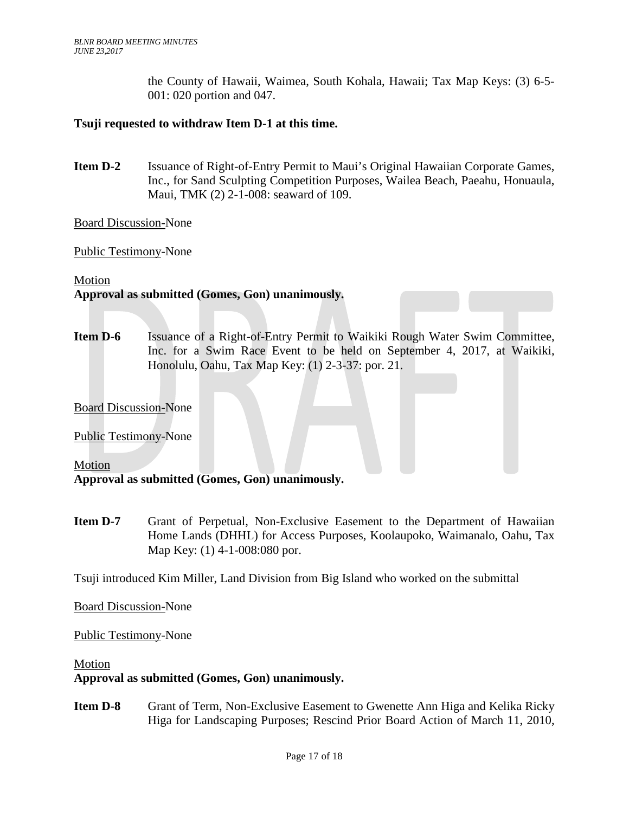the County of Hawaii, Waimea, South Kohala, Hawaii; Tax Map Keys: (3) 6-5- 001: 020 portion and 047.

# **Tsuji requested to withdraw Item D-1 at this time.**

**Item D-2** Issuance of Right-of-Entry Permit to Maui's Original Hawaiian Corporate Games, Inc., for Sand Sculpting Competition Purposes, Wailea Beach, Paeahu, Honuaula, Maui, TMK (2) 2-1-008: seaward of 109.

Board Discussion-None

Public Testimony-None

Motion **Approval as submitted (Gomes, Gon) unanimously.**

**Item D-6** Issuance of a Right-of-Entry Permit to Waikiki Rough Water Swim Committee, Inc. for a Swim Race Event to be held on September 4, 2017, at Waikiki, Honolulu, Oahu, Tax Map Key: (1) 2-3-37: por. 21.

Board Discussion-None

Public Testimony-None

Motion

**Approval as submitted (Gomes, Gon) unanimously.**

**Item D-7** Grant of Perpetual, Non-Exclusive Easement to the Department of Hawaiian Home Lands (DHHL) for Access Purposes, Koolaupoko, Waimanalo, Oahu, Tax Map Key: (1) 4-1-008:080 por.

Tsuji introduced Kim Miller, Land Division from Big Island who worked on the submittal

Board Discussion-None

Public Testimony-None

#### Motion

## **Approval as submitted (Gomes, Gon) unanimously.**

**Item D-8** Grant of Term, Non-Exclusive Easement to Gwenette Ann Higa and Kelika Ricky Higa for Landscaping Purposes; Rescind Prior Board Action of March 11, 2010,